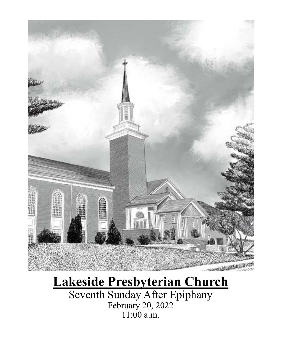

# **Lakeside Presbyterian Church**

Seventh Sunday After Epiphany February 20, 2022 11:00 a.m.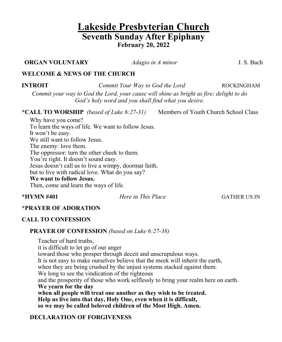# **Lakeside Presbyterian Church Seventh Sunday After Epiphany February 20, 2022**

**ORGAN VOLUNTARY** *Adagio in A minor* J. S. Bach

## **WELCOME & NEWS OF THE CHURCH**

**INTROIT** *Commit Your Way to God the Lord* ROCKINGHAM

*Commit your way to God the Lord, your cause will shine as bright as fire; delight to do God's holy word and you shall find what you desire.*

**\*CALL TO WORSHIP** *(based of Luke 6:27-31)* Members of Youth Church School Class

Why have you come? To learn the ways of life. We want to follow Jesus. It won't be easy. We still want to follow Jesus. The enemy: love them. The oppressor: turn the other cheek to them. You're right. It doesn't sound easy. Jesus doesn't call us to live a wimpy, doormat faith, but to live with radical love. What do you say? **We want to follow Jesus.**

Then, come and learn the ways of life.

**\*HYMN #401** *Here in This Place* GATHER US IN

# **\*PRAYER OF ADORATION**

# **CALL TO CONFESSION**

### **PRAYER OF CONFESSION** *(based on Luke 6:27-38)*

Teacher of hard truths, it is difficult to let go of our anger toward those who prosper through deceit and unscrupulous ways. It is not easy to make ourselves believe that the meek will inherit the earth, when they are being crushed by the unjust systems stacked against them. We long to see the vindication of the righteous and the prosperity of those who work selflessly to bring your realm here on earth. **We yearn for the day when all people will treat one another as they wish to be treated. Help us live into that day, Holy One, even when it is difficult, so we may be called beloved children of the Most High. Amen.**

# **DECLARATION OF FORGIVENESS**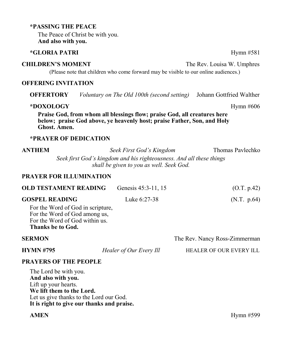#### **\*PASSING THE PEACE**

The Peace of Christ be with you. **And also with you.**

#### **\*GLORIA PATRI** Hymn #581

#### **CHILDREN'S MOMENT** The Rev. Louisa W. Umphres

(Please note that children who come forward may be visible to our online audiences.)

#### **OFFERING INVITATION**

**OFFERTORY** *Voluntary on The Old 100th (second setting)* Johann Gottfried Walther

#### **\*DOXOLOGY** Hymn #606

**Praise God, from whom all blessings flow; praise God, all creatures here below; praise God above, ye heavenly host; praise Father, Son, and Holy Ghost. Amen.**

#### **\*PRAYER OF DEDICATION**

**ANTHEM** *Seek First God's Kingdom* Thomas Pavlechko

*Seek first God's kingdom and his righteousness. And all these things shall be given to you as well. Seek God.*

#### **PRAYER FOR ILLUMINATION**

| <b>OLD TESTAMENT READING</b>                                                                                              | Genesis 45:3-11, 15     | (O.T. p.42)                    |
|---------------------------------------------------------------------------------------------------------------------------|-------------------------|--------------------------------|
| <b>GOSPEL READING</b>                                                                                                     | Luke 6:27-38            | (N.T. p.64)                    |
| For the Word of God in scripture,<br>For the Word of God among us,<br>For the Word of God within us.<br>Thanks be to God. |                         |                                |
| <b>SERMON</b>                                                                                                             |                         | The Rev. Nancy Ross-Zimmerman  |
| <b>HYMN #795</b>                                                                                                          | Healer of Our Every Ill | <b>HEALER OF OUR EVERY ILL</b> |

# **PRAYERS OF THE PEOPLE**

The Lord be with you. **And also with you.** Lift up your hearts. **We lift them to the Lord.** Let us give thanks to the Lord our God. **It is right to give our thanks and praise.**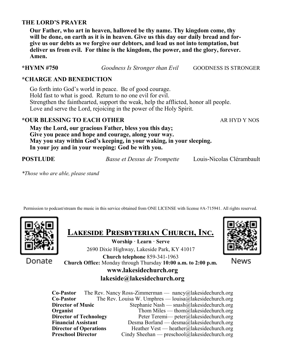### **THE LORD'S PRAYER**

**Our Father, who art in heaven, hallowed be thy name. Thy kingdom come, thy will be done, on earth as it is in heaven. Give us this day our daily bread and forgive us our debts as we forgive our debtors, and lead us not into temptation, but deliver us from evil. For thine is the kingdom, the power, and the glory, forever. Amen.**

**\*HYMN #750** *Goodness Is Stronger than Evil* GOODNESS IS STRONGER

### **\*CHARGE AND BENEDICTION**

Go forth into God's world in peace. Be of good courage. Hold fast to what is good. Return to no one evil for evil. Strengthen the fainthearted, support the weak, help the afflicted, honor all people. Love and serve the Lord, rejoicing in the power of the Holy Spirit.

# **\*OUR BLESSING TO EACH OTHER** AR HYD Y NOS

**May the Lord, our gracious Father, bless you this day; Give you peace and hope and courage, along your way. May you stay within God's keeping, in your waking, in your sleeping. In your joy and in your weeping: God be with you.**

**POSTLUDE** *Basse et Dessus de Trompette* Louis-Nicolas Clérambault

*\*Those who are able, please stand*

Permission to podcast/stream the music in this service obtained from ONE LICENSE with license #A-715941. All rights reserved.



Donate

|  |  | <b>LAKESIDE PRESBYTERIAN CHURCH, INC.</b> |  |
|--|--|-------------------------------------------|--|
|--|--|-------------------------------------------|--|

**Worship · Learn · Serve** 2690 Dixie Highway, Lakeside Park, KY 41017 **Church telephone** 859-341-1963 **Church Office:** Monday through Thursday **10:00 a.m. to 2:00 p.m.**



News

# **www.lakesidechurch.org lakeside@lakesidechurch.org**

**Co-Pastor** The Rev. Nancy Ross-Zimmerman — nancy@lakesidechurch.org **Co-Pastor** The Rev. Louisa W. Umphres — louisa@lakesidechurch.org **Director of Music** Stephanie Nash — snash@lakesidechurch.org **Organist** Thom Miles — thom all the intervalse of the Thom Miles — thom all the intervalse of the intervalse of the intervalse of the intervalse of the intervalse of the intervalse of the intervalse of the intervalse of t **Director of Technology** Peter Teremi— peter@lakesidechurch.org **Financial Assistant** Desma Borland — desma@lakesidechurch.org **Director of Operations** Heather Vest — heather@lakesidechurch.org **Preschool Director** Cindy Sheehan — preschool@lakesidechurch.org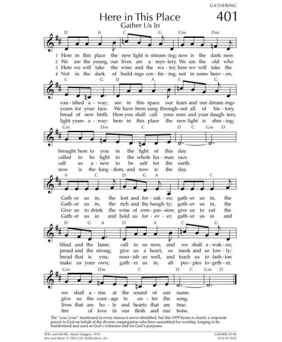**GATHERING** 



The "you/your" mentioned in every stanza is never identified, but this 1979 hymn is clearly a corporate prayer to God on behalf of the diverse congregation who have assembled for worship, longing to be transformed and used as God's witnesses and for God's purposes.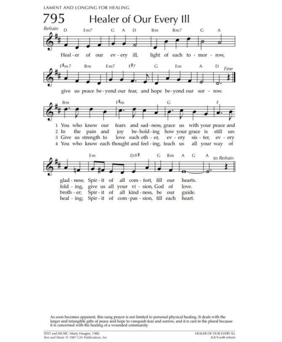LAMENT AND LONGING FOR HEALING



As soon becomes apparent, this sung prayer is not limited to personal physical healing. It deals with the larger and intangible gifts of peace and hope to vanquish fear and sorrow, and it is cast in the plural because<br>it is concerned with the healing of a wounded community.